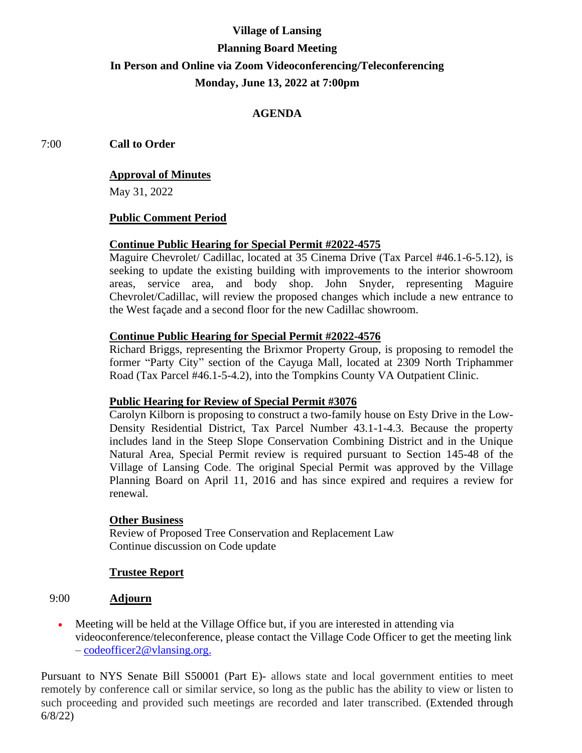# **Village of Lansing Planning Board Meeting In Person and Online via Zoom Videoconferencing/Teleconferencing Monday, June 13, 2022 at 7:00pm**

# **AGENDA**

7:00 **Call to Order**

## **Approval of Minutes**

May 31, 2022

## **Public Comment Period**

# **Continue Public Hearing for Special Permit #2022-4575**

Maguire Chevrolet/ Cadillac, located at 35 Cinema Drive (Tax Parcel #46.1-6-5.12), is seeking to update the existing building with improvements to the interior showroom areas, service area, and body shop. John Snyder, representing Maguire Chevrolet/Cadillac, will review the proposed changes which include a new entrance to the West façade and a second floor for the new Cadillac showroom.

## **Continue Public Hearing for Special Permit #2022-4576**

Richard Briggs, representing the Brixmor Property Group, is proposing to remodel the former "Party City" section of the Cayuga Mall, located at 2309 North Triphammer Road (Tax Parcel #46.1-5-4.2), into the Tompkins County VA Outpatient Clinic.

#### **Public Hearing for Review of Special Permit #3076**

Carolyn Kilborn is proposing to construct a two-family house on Esty Drive in the Low-Density Residential District, Tax Parcel Number 43.1-1-4.3. Because the property includes land in the Steep Slope Conservation Combining District and in the Unique Natural Area, Special Permit review is required pursuant to Section 145-48 of the Village of Lansing Code. The original Special Permit was approved by the Village Planning Board on April 11, 2016 and has since expired and requires a review for renewal.

#### **Other Business**

Review of Proposed Tree Conservation and Replacement Law Continue discussion on Code update

#### **Trustee Report**

## 9:00 **Adjourn**

• Meeting will be held at the Village Office but, if you are interested in attending via videoconference/teleconference, please contact the Village Code Officer to get the meeting link – [codeofficer2@vlansing.org.](mailto:codeofficer2@vlansing.org)

Pursuant to NYS Senate Bill S50001 (Part E)- allows state and local government entities to meet remotely by conference call or similar service, so long as the public has the ability to view or listen to such proceeding and provided such meetings are recorded and later transcribed. (Extended through 6/8/22)